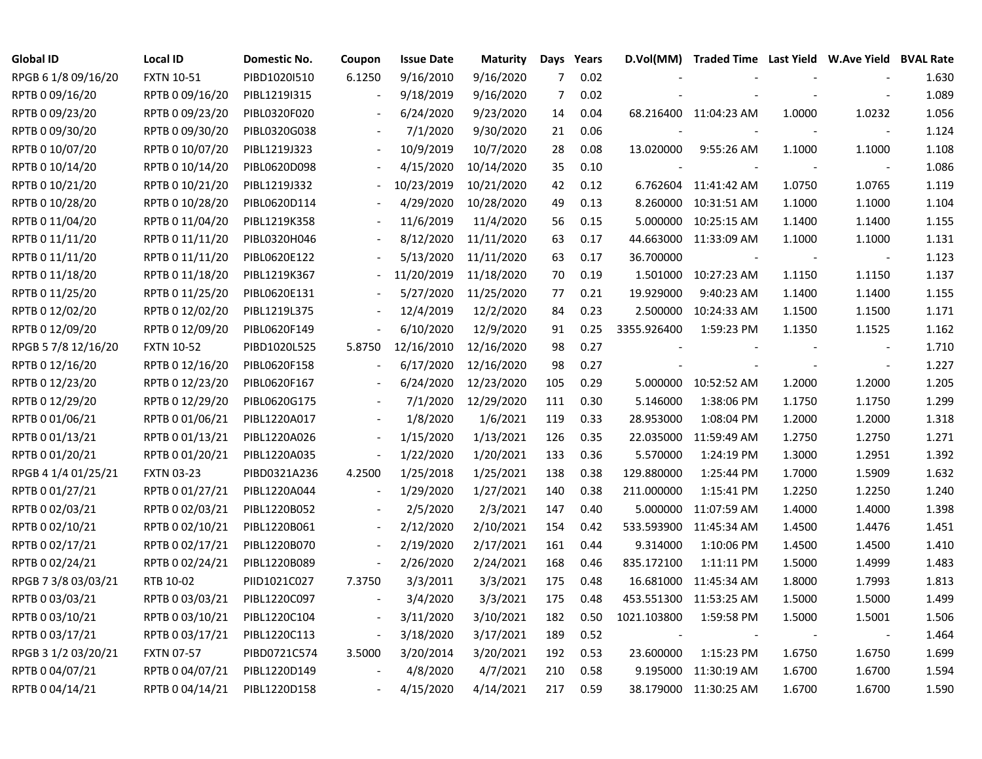| <b>Global ID</b>    | <b>Local ID</b>   | Domestic No. | Coupon                   | <b>Issue Date</b> | <b>Maturity</b> |                | Days Years |             | D.Vol(MM) Traded Time Last Yield W.Ave Yield BVAL Rate |                          |                          |       |
|---------------------|-------------------|--------------|--------------------------|-------------------|-----------------|----------------|------------|-------------|--------------------------------------------------------|--------------------------|--------------------------|-------|
| RPGB 6 1/8 09/16/20 | <b>FXTN 10-51</b> | PIBD1020I510 | 6.1250                   | 9/16/2010         | 9/16/2020       | $\overline{7}$ | 0.02       |             |                                                        |                          |                          | 1.630 |
| RPTB 0 09/16/20     | RPTB 0 09/16/20   | PIBL1219I315 |                          | 9/18/2019         | 9/16/2020       | 7              | 0.02       |             |                                                        |                          |                          | 1.089 |
| RPTB 0 09/23/20     | RPTB 0 09/23/20   | PIBL0320F020 |                          | 6/24/2020         | 9/23/2020       | 14             | 0.04       |             | 68.216400 11:04:23 AM                                  | 1.0000                   | 1.0232                   | 1.056 |
| RPTB 0 09/30/20     | RPTB 0 09/30/20   | PIBL0320G038 |                          | 7/1/2020          | 9/30/2020       | 21             | 0.06       |             |                                                        |                          |                          | 1.124 |
| RPTB 0 10/07/20     | RPTB 0 10/07/20   | PIBL1219J323 |                          | 10/9/2019         | 10/7/2020       | 28             | 0.08       | 13.020000   | 9:55:26 AM                                             | 1.1000                   | 1.1000                   | 1.108 |
| RPTB 0 10/14/20     | RPTB 0 10/14/20   | PIBL0620D098 |                          | 4/15/2020         | 10/14/2020      | 35             | 0.10       |             |                                                        |                          |                          | 1.086 |
| RPTB 0 10/21/20     | RPTB 0 10/21/20   | PIBL1219J332 |                          | 10/23/2019        | 10/21/2020      | 42             | 0.12       |             | 6.762604 11:41:42 AM                                   | 1.0750                   | 1.0765                   | 1.119 |
| RPTB 0 10/28/20     | RPTB 0 10/28/20   | PIBL0620D114 |                          | 4/29/2020         | 10/28/2020      | 49             | 0.13       | 8.260000    | 10:31:51 AM                                            | 1.1000                   | 1.1000                   | 1.104 |
| RPTB 0 11/04/20     | RPTB 0 11/04/20   | PIBL1219K358 |                          | 11/6/2019         | 11/4/2020       | 56             | 0.15       | 5.000000    | 10:25:15 AM                                            | 1.1400                   | 1.1400                   | 1.155 |
| RPTB 0 11/11/20     | RPTB 0 11/11/20   | PIBL0320H046 |                          | 8/12/2020         | 11/11/2020      | 63             | 0.17       | 44.663000   | 11:33:09 AM                                            | 1.1000                   | 1.1000                   | 1.131 |
| RPTB 0 11/11/20     | RPTB 0 11/11/20   | PIBL0620E122 |                          | 5/13/2020         | 11/11/2020      | 63             | 0.17       | 36.700000   |                                                        | $\overline{\phantom{a}}$ | $\overline{\phantom{a}}$ | 1.123 |
| RPTB 0 11/18/20     | RPTB 0 11/18/20   | PIBL1219K367 |                          | 11/20/2019        | 11/18/2020      | 70             | 0.19       | 1.501000    | 10:27:23 AM                                            | 1.1150                   | 1.1150                   | 1.137 |
| RPTB 0 11/25/20     | RPTB 0 11/25/20   | PIBL0620E131 |                          | 5/27/2020         | 11/25/2020      | 77             | 0.21       | 19.929000   | 9:40:23 AM                                             | 1.1400                   | 1.1400                   | 1.155 |
| RPTB 0 12/02/20     | RPTB 0 12/02/20   | PIBL1219L375 |                          | 12/4/2019         | 12/2/2020       | 84             | 0.23       | 2.500000    | 10:24:33 AM                                            | 1.1500                   | 1.1500                   | 1.171 |
| RPTB 0 12/09/20     | RPTB 0 12/09/20   | PIBL0620F149 |                          | 6/10/2020         | 12/9/2020       | 91             | 0.25       | 3355.926400 | 1:59:23 PM                                             | 1.1350                   | 1.1525                   | 1.162 |
| RPGB 5 7/8 12/16/20 | <b>FXTN 10-52</b> | PIBD1020L525 | 5.8750                   | 12/16/2010        | 12/16/2020      | 98             | 0.27       |             |                                                        |                          |                          | 1.710 |
| RPTB 0 12/16/20     | RPTB 0 12/16/20   | PIBL0620F158 |                          | 6/17/2020         | 12/16/2020      | 98             | 0.27       |             |                                                        |                          |                          | 1.227 |
| RPTB 0 12/23/20     | RPTB 0 12/23/20   | PIBL0620F167 | $\overline{\phantom{a}}$ | 6/24/2020         | 12/23/2020      | 105            | 0.29       | 5.000000    | 10:52:52 AM                                            | 1.2000                   | 1.2000                   | 1.205 |
| RPTB 0 12/29/20     | RPTB 0 12/29/20   | PIBL0620G175 | $\blacksquare$           | 7/1/2020          | 12/29/2020      | 111            | 0.30       | 5.146000    | 1:38:06 PM                                             | 1.1750                   | 1.1750                   | 1.299 |
| RPTB 0 01/06/21     | RPTB 0 01/06/21   | PIBL1220A017 | $\blacksquare$           | 1/8/2020          | 1/6/2021        | 119            | 0.33       | 28.953000   | 1:08:04 PM                                             | 1.2000                   | 1.2000                   | 1.318 |
| RPTB 0 01/13/21     | RPTB 0 01/13/21   | PIBL1220A026 | $\overline{\phantom{a}}$ | 1/15/2020         | 1/13/2021       | 126            | 0.35       | 22.035000   | 11:59:49 AM                                            | 1.2750                   | 1.2750                   | 1.271 |
| RPTB 0 01/20/21     | RPTB 0 01/20/21   | PIBL1220A035 | $\sim$                   | 1/22/2020         | 1/20/2021       | 133            | 0.36       | 5.570000    | 1:24:19 PM                                             | 1.3000                   | 1.2951                   | 1.392 |
| RPGB 4 1/4 01/25/21 | <b>FXTN 03-23</b> | PIBD0321A236 | 4.2500                   | 1/25/2018         | 1/25/2021       | 138            | 0.38       | 129.880000  | 1:25:44 PM                                             | 1.7000                   | 1.5909                   | 1.632 |
| RPTB 0 01/27/21     | RPTB 0 01/27/21   | PIBL1220A044 | $\overline{\phantom{a}}$ | 1/29/2020         | 1/27/2021       | 140            | 0.38       | 211.000000  | 1:15:41 PM                                             | 1.2250                   | 1.2250                   | 1.240 |
| RPTB 0 02/03/21     | RPTB 0 02/03/21   | PIBL1220B052 |                          | 2/5/2020          | 2/3/2021        | 147            | 0.40       | 5.000000    | 11:07:59 AM                                            | 1.4000                   | 1.4000                   | 1.398 |
| RPTB 0 02/10/21     | RPTB 0 02/10/21   | PIBL1220B061 |                          | 2/12/2020         | 2/10/2021       | 154            | 0.42       | 533.593900  | 11:45:34 AM                                            | 1.4500                   | 1.4476                   | 1.451 |
| RPTB 0 02/17/21     | RPTB 0 02/17/21   | PIBL1220B070 |                          | 2/19/2020         | 2/17/2021       | 161            | 0.44       | 9.314000    | 1:10:06 PM                                             | 1.4500                   | 1.4500                   | 1.410 |
| RPTB 0 02/24/21     | RPTB 0 02/24/21   | PIBL1220B089 |                          | 2/26/2020         | 2/24/2021       | 168            | 0.46       | 835.172100  | 1:11:11 PM                                             | 1.5000                   | 1.4999                   | 1.483 |
| RPGB 7 3/8 03/03/21 | RTB 10-02         | PIID1021C027 | 7.3750                   | 3/3/2011          | 3/3/2021        | 175            | 0.48       | 16.681000   | 11:45:34 AM                                            | 1.8000                   | 1.7993                   | 1.813 |
| RPTB 0 03/03/21     | RPTB 0 03/03/21   | PIBL1220C097 |                          | 3/4/2020          | 3/3/2021        | 175            | 0.48       | 453.551300  | 11:53:25 AM                                            | 1.5000                   | 1.5000                   | 1.499 |
| RPTB 0 03/10/21     | RPTB 0 03/10/21   | PIBL1220C104 |                          | 3/11/2020         | 3/10/2021       | 182            | 0.50       | 1021.103800 | 1:59:58 PM                                             | 1.5000                   | 1.5001                   | 1.506 |
| RPTB 0 03/17/21     | RPTB 0 03/17/21   | PIBL1220C113 | $\overline{\phantom{a}}$ | 3/18/2020         | 3/17/2021       | 189            | 0.52       |             |                                                        | $\blacksquare$           | $\blacksquare$           | 1.464 |
| RPGB 3 1/2 03/20/21 | <b>FXTN 07-57</b> | PIBD0721C574 | 3.5000                   | 3/20/2014         | 3/20/2021       | 192            | 0.53       | 23.600000   | 1:15:23 PM                                             | 1.6750                   | 1.6750                   | 1.699 |
| RPTB 0 04/07/21     | RPTB 0 04/07/21   | PIBL1220D149 |                          | 4/8/2020          | 4/7/2021        | 210            | 0.58       | 9.195000    | 11:30:19 AM                                            | 1.6700                   | 1.6700                   | 1.594 |
| RPTB 0 04/14/21     | RPTB 0 04/14/21   | PIBL1220D158 |                          | 4/15/2020         | 4/14/2021       | 217            | 0.59       |             | 38.179000 11:30:25 AM                                  | 1.6700                   | 1.6700                   | 1.590 |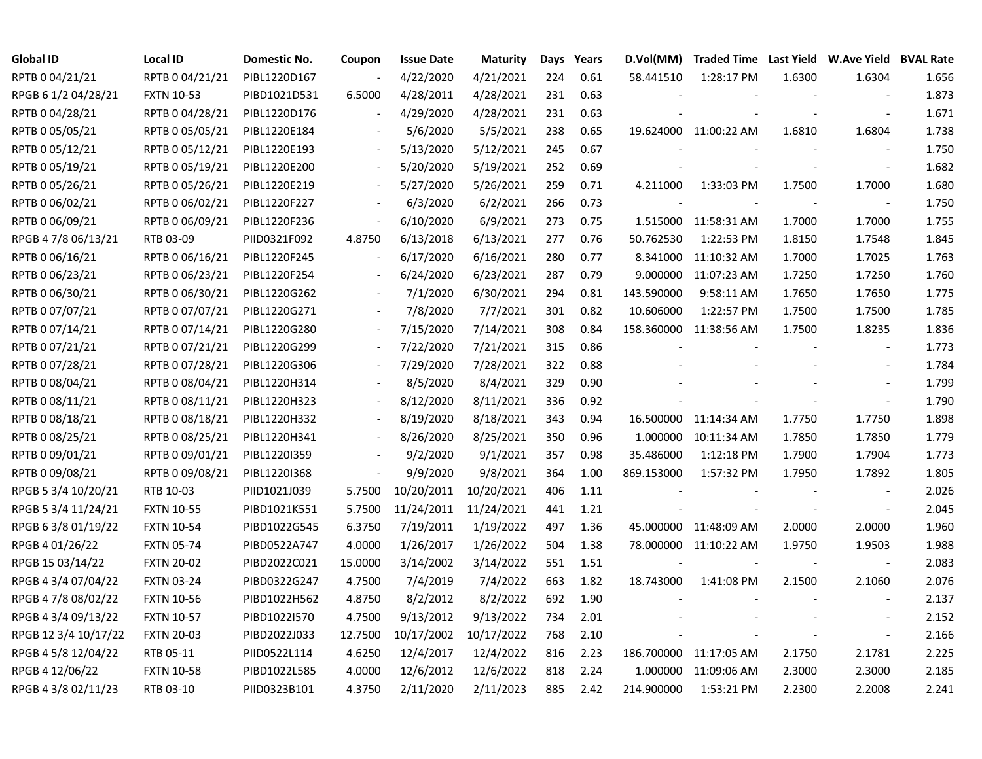| <b>Global ID</b>     | <b>Local ID</b>   | <b>Domestic No.</b> | Coupon                   | <b>Issue Date</b>     | <b>Maturity</b> | Days | Years | D.Vol(MM)  | Traded Time Last Yield W.Ave Yield BVAL Rate |        |                          |       |
|----------------------|-------------------|---------------------|--------------------------|-----------------------|-----------------|------|-------|------------|----------------------------------------------|--------|--------------------------|-------|
| RPTB 0 04/21/21      | RPTB 0 04/21/21   | PIBL1220D167        |                          | 4/22/2020             | 4/21/2021       | 224  | 0.61  | 58.441510  | 1:28:17 PM                                   | 1.6300 | 1.6304                   | 1.656 |
| RPGB 6 1/2 04/28/21  | <b>FXTN 10-53</b> | PIBD1021D531        | 6.5000                   | 4/28/2011             | 4/28/2021       | 231  | 0.63  |            |                                              |        | $\sim$                   | 1.873 |
| RPTB 0 04/28/21      | RPTB 0 04/28/21   | PIBL1220D176        |                          | 4/29/2020             | 4/28/2021       | 231  | 0.63  |            |                                              |        | $\overline{\phantom{a}}$ | 1.671 |
| RPTB 0 05/05/21      | RPTB 0 05/05/21   | PIBL1220E184        |                          | 5/6/2020              | 5/5/2021        | 238  | 0.65  |            | 19.624000 11:00:22 AM                        | 1.6810 | 1.6804                   | 1.738 |
| RPTB 0 05/12/21      | RPTB 0 05/12/21   | PIBL1220E193        |                          | 5/13/2020             | 5/12/2021       | 245  | 0.67  |            |                                              |        | $\overline{\phantom{a}}$ | 1.750 |
| RPTB 0 05/19/21      | RPTB 0 05/19/21   | PIBL1220E200        | $\overline{\phantom{a}}$ | 5/20/2020             | 5/19/2021       | 252  | 0.69  |            |                                              |        | $\overline{\phantom{a}}$ | 1.682 |
| RPTB 0 05/26/21      | RPTB 0 05/26/21   | PIBL1220E219        | $\overline{\phantom{a}}$ | 5/27/2020             | 5/26/2021       | 259  | 0.71  | 4.211000   | 1:33:03 PM                                   | 1.7500 | 1.7000                   | 1.680 |
| RPTB 0 06/02/21      | RPTB 0 06/02/21   | PIBL1220F227        |                          | 6/3/2020              | 6/2/2021        | 266  | 0.73  |            |                                              |        |                          | 1.750 |
| RPTB 0 06/09/21      | RPTB 0 06/09/21   | PIBL1220F236        | $\overline{\phantom{a}}$ | 6/10/2020             | 6/9/2021        | 273  | 0.75  |            | 1.515000 11:58:31 AM                         | 1.7000 | 1.7000                   | 1.755 |
| RPGB 4 7/8 06/13/21  | RTB 03-09         | PIID0321F092        | 4.8750                   | 6/13/2018             | 6/13/2021       | 277  | 0.76  | 50.762530  | 1:22:53 PM                                   | 1.8150 | 1.7548                   | 1.845 |
| RPTB 0 06/16/21      | RPTB 0 06/16/21   | PIBL1220F245        | $\blacksquare$           | 6/17/2020             | 6/16/2021       | 280  | 0.77  |            | 8.341000 11:10:32 AM                         | 1.7000 | 1.7025                   | 1.763 |
| RPTB 0 06/23/21      | RPTB 0 06/23/21   | PIBL1220F254        | $\overline{\phantom{a}}$ | 6/24/2020             | 6/23/2021       | 287  | 0.79  |            | 9.000000 11:07:23 AM                         | 1.7250 | 1.7250                   | 1.760 |
| RPTB 0 06/30/21      | RPTB 0 06/30/21   | PIBL1220G262        |                          | 7/1/2020              | 6/30/2021       | 294  | 0.81  | 143.590000 | 9:58:11 AM                                   | 1.7650 | 1.7650                   | 1.775 |
| RPTB 0 07/07/21      | RPTB 0 07/07/21   | PIBL1220G271        |                          | 7/8/2020              | 7/7/2021        | 301  | 0.82  | 10.606000  | 1:22:57 PM                                   | 1.7500 | 1.7500                   | 1.785 |
| RPTB 0 07/14/21      | RPTB 0 07/14/21   | PIBL1220G280        |                          | 7/15/2020             | 7/14/2021       | 308  | 0.84  |            | 158.360000 11:38:56 AM                       | 1.7500 | 1.8235                   | 1.836 |
| RPTB 0 07/21/21      | RPTB 0 07/21/21   | PIBL1220G299        |                          | 7/22/2020             | 7/21/2021       | 315  | 0.86  |            |                                              |        |                          | 1.773 |
| RPTB 0 07/28/21      | RPTB 0 07/28/21   | PIBL1220G306        |                          | 7/29/2020             | 7/28/2021       | 322  | 0.88  |            |                                              |        |                          | 1.784 |
| RPTB 0 08/04/21      | RPTB 0 08/04/21   | PIBL1220H314        |                          | 8/5/2020              | 8/4/2021        | 329  | 0.90  |            |                                              |        |                          | 1.799 |
| RPTB 0 08/11/21      | RPTB 0 08/11/21   | PIBL1220H323        | $\overline{\phantom{a}}$ | 8/12/2020             | 8/11/2021       | 336  | 0.92  |            |                                              |        | $\overline{\phantom{a}}$ | 1.790 |
| RPTB 0 08/18/21      | RPTB 0 08/18/21   | PIBL1220H332        | $\blacksquare$           | 8/19/2020             | 8/18/2021       | 343  | 0.94  |            | 16.500000 11:14:34 AM                        | 1.7750 | 1.7750                   | 1.898 |
| RPTB 0 08/25/21      | RPTB 0 08/25/21   | PIBL1220H341        |                          | 8/26/2020             | 8/25/2021       | 350  | 0.96  | 1.000000   | 10:11:34 AM                                  | 1.7850 | 1.7850                   | 1.779 |
| RPTB 0 09/01/21      | RPTB 0 09/01/21   | PIBL1220I359        |                          | 9/2/2020              | 9/1/2021        | 357  | 0.98  | 35.486000  | 1:12:18 PM                                   | 1.7900 | 1.7904                   | 1.773 |
| RPTB 0 09/08/21      | RPTB 0 09/08/21   | PIBL1220I368        | $\blacksquare$           | 9/9/2020              | 9/8/2021        | 364  | 1.00  | 869.153000 | 1:57:32 PM                                   | 1.7950 | 1.7892                   | 1.805 |
| RPGB 5 3/4 10/20/21  | RTB 10-03         | PIID1021J039        | 5.7500                   | 10/20/2011            | 10/20/2021      | 406  | 1.11  |            |                                              |        | $\overline{\phantom{a}}$ | 2.026 |
| RPGB 5 3/4 11/24/21  | <b>FXTN 10-55</b> | PIBD1021K551        | 5.7500                   | 11/24/2011 11/24/2021 |                 | 441  | 1.21  |            |                                              |        | $\sim$                   | 2.045 |
| RPGB 6 3/8 01/19/22  | <b>FXTN 10-54</b> | PIBD1022G545        | 6.3750                   | 7/19/2011             | 1/19/2022       | 497  | 1.36  |            | 45.000000 11:48:09 AM                        | 2.0000 | 2.0000                   | 1.960 |
| RPGB 4 01/26/22      | <b>FXTN 05-74</b> | PIBD0522A747        | 4.0000                   | 1/26/2017             | 1/26/2022       | 504  | 1.38  |            | 78.000000 11:10:22 AM                        | 1.9750 | 1.9503                   | 1.988 |
| RPGB 15 03/14/22     | <b>FXTN 20-02</b> | PIBD2022C021        | 15.0000                  | 3/14/2002             | 3/14/2022       | 551  | 1.51  |            |                                              |        | $\overline{\phantom{a}}$ | 2.083 |
| RPGB 4 3/4 07/04/22  | <b>FXTN 03-24</b> | PIBD0322G247        | 4.7500                   | 7/4/2019              | 7/4/2022        | 663  | 1.82  | 18.743000  | 1:41:08 PM                                   | 2.1500 | 2.1060                   | 2.076 |
| RPGB 4 7/8 08/02/22  | <b>FXTN 10-56</b> | PIBD1022H562        | 4.8750                   | 8/2/2012              | 8/2/2022        | 692  | 1.90  |            |                                              |        | $\overline{\phantom{a}}$ | 2.137 |
| RPGB 4 3/4 09/13/22  | <b>FXTN 10-57</b> | PIBD1022I570        | 4.7500                   | 9/13/2012             | 9/13/2022       | 734  | 2.01  |            |                                              |        |                          | 2.152 |
| RPGB 12 3/4 10/17/22 | <b>FXTN 20-03</b> | PIBD2022J033        | 12.7500                  | 10/17/2002            | 10/17/2022      | 768  | 2.10  |            |                                              |        | $\blacksquare$           | 2.166 |
| RPGB 4 5/8 12/04/22  | RTB 05-11         | PIID0522L114        | 4.6250                   | 12/4/2017             | 12/4/2022       | 816  | 2.23  |            | 186.700000 11:17:05 AM                       | 2.1750 | 2.1781                   | 2.225 |
| RPGB 4 12/06/22      | <b>FXTN 10-58</b> | PIBD1022L585        | 4.0000                   | 12/6/2012             | 12/6/2022       | 818  | 2.24  |            | 1.000000 11:09:06 AM                         | 2.3000 | 2.3000                   | 2.185 |
| RPGB 4 3/8 02/11/23  | RTB 03-10         | PIID0323B101        | 4.3750                   | 2/11/2020             | 2/11/2023       | 885  | 2.42  | 214.900000 | 1:53:21 PM                                   | 2.2300 | 2.2008                   | 2.241 |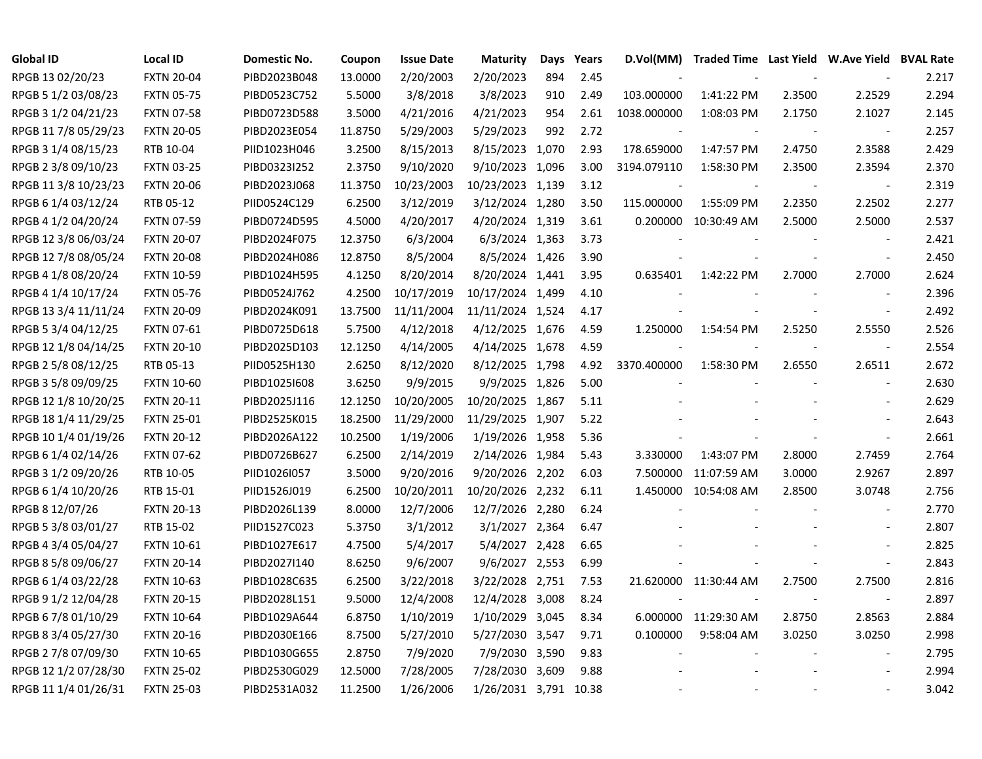| <b>Global ID</b>     | <b>Local ID</b>   | Domestic No. | Coupon  | <b>Issue Date</b> | <b>Maturity</b>       | Days | Years | D.Vol(MM)   |                       |                          | Traded Time Last Yield W.Ave Yield BVAL Rate |       |
|----------------------|-------------------|--------------|---------|-------------------|-----------------------|------|-------|-------------|-----------------------|--------------------------|----------------------------------------------|-------|
| RPGB 13 02/20/23     | <b>FXTN 20-04</b> | PIBD2023B048 | 13.0000 | 2/20/2003         | 2/20/2023             | 894  | 2.45  |             |                       |                          |                                              | 2.217 |
| RPGB 5 1/2 03/08/23  | <b>FXTN 05-75</b> | PIBD0523C752 | 5.5000  | 3/8/2018          | 3/8/2023              | 910  | 2.49  | 103.000000  | 1:41:22 PM            | 2.3500                   | 2.2529                                       | 2.294 |
| RPGB 3 1/2 04/21/23  | <b>FXTN 07-58</b> | PIBD0723D588 | 3.5000  | 4/21/2016         | 4/21/2023             | 954  | 2.61  | 1038.000000 | 1:08:03 PM            | 2.1750                   | 2.1027                                       | 2.145 |
| RPGB 11 7/8 05/29/23 | <b>FXTN 20-05</b> | PIBD2023E054 | 11.8750 | 5/29/2003         | 5/29/2023             | 992  | 2.72  |             |                       | $\overline{\phantom{a}}$ | $\overline{\phantom{a}}$                     | 2.257 |
| RPGB 3 1/4 08/15/23  | RTB 10-04         | PIID1023H046 | 3.2500  | 8/15/2013         | 8/15/2023 1,070       |      | 2.93  | 178.659000  | 1:47:57 PM            | 2.4750                   | 2.3588                                       | 2.429 |
| RPGB 2 3/8 09/10/23  | <b>FXTN 03-25</b> | PIBD0323I252 | 2.3750  | 9/10/2020         | 9/10/2023 1,096       |      | 3.00  | 3194.079110 | 1:58:30 PM            | 2.3500                   | 2.3594                                       | 2.370 |
| RPGB 11 3/8 10/23/23 | <b>FXTN 20-06</b> | PIBD2023J068 | 11.3750 | 10/23/2003        | 10/23/2023 1,139      |      | 3.12  |             |                       |                          | $\overline{\phantom{a}}$                     | 2.319 |
| RPGB 6 1/4 03/12/24  | RTB 05-12         | PIID0524C129 | 6.2500  | 3/12/2019         | 3/12/2024 1,280       |      | 3.50  | 115.000000  | 1:55:09 PM            | 2.2350                   | 2.2502                                       | 2.277 |
| RPGB 4 1/2 04/20/24  | <b>FXTN 07-59</b> | PIBD0724D595 | 4.5000  | 4/20/2017         | 4/20/2024 1,319       |      | 3.61  | 0.200000    | 10:30:49 AM           | 2.5000                   | 2.5000                                       | 2.537 |
| RPGB 12 3/8 06/03/24 | <b>FXTN 20-07</b> | PIBD2024F075 | 12.3750 | 6/3/2004          | 6/3/2024 1,363        |      | 3.73  |             |                       |                          | $\blacksquare$                               | 2.421 |
| RPGB 12 7/8 08/05/24 | <b>FXTN 20-08</b> | PIBD2024H086 | 12.8750 | 8/5/2004          | 8/5/2024 1,426        |      | 3.90  |             |                       |                          | $\overline{\phantom{a}}$                     | 2.450 |
| RPGB 4 1/8 08/20/24  | <b>FXTN 10-59</b> | PIBD1024H595 | 4.1250  | 8/20/2014         | 8/20/2024 1,441       |      | 3.95  | 0.635401    | 1:42:22 PM            | 2.7000                   | 2.7000                                       | 2.624 |
| RPGB 4 1/4 10/17/24  | <b>FXTN 05-76</b> | PIBD0524J762 | 4.2500  | 10/17/2019        | 10/17/2024 1,499      |      | 4.10  |             |                       |                          | $\blacksquare$                               | 2.396 |
| RPGB 13 3/4 11/11/24 | <b>FXTN 20-09</b> | PIBD2024K091 | 13.7500 | 11/11/2004        | 11/11/2024 1,524      |      | 4.17  |             |                       |                          | $\blacksquare$                               | 2.492 |
| RPGB 5 3/4 04/12/25  | <b>FXTN 07-61</b> | PIBD0725D618 | 5.7500  | 4/12/2018         | 4/12/2025 1,676       |      | 4.59  | 1.250000    | 1:54:54 PM            | 2.5250                   | 2.5550                                       | 2.526 |
| RPGB 12 1/8 04/14/25 | <b>FXTN 20-10</b> | PIBD2025D103 | 12.1250 | 4/14/2005         | 4/14/2025 1,678       |      | 4.59  |             |                       |                          | $\overline{\phantom{a}}$                     | 2.554 |
| RPGB 2 5/8 08/12/25  | RTB 05-13         | PIID0525H130 | 2.6250  | 8/12/2020         | 8/12/2025 1,798       |      | 4.92  | 3370.400000 | 1:58:30 PM            | 2.6550                   | 2.6511                                       | 2.672 |
| RPGB 3 5/8 09/09/25  | <b>FXTN 10-60</b> | PIBD1025I608 | 3.6250  | 9/9/2015          | 9/9/2025 1,826        |      | 5.00  |             |                       | $\overline{\phantom{a}}$ | $\sim$                                       | 2.630 |
| RPGB 12 1/8 10/20/25 | <b>FXTN 20-11</b> | PIBD2025J116 | 12.1250 | 10/20/2005        | 10/20/2025 1,867      |      | 5.11  |             |                       |                          | $\blacksquare$                               | 2.629 |
| RPGB 18 1/4 11/29/25 | <b>FXTN 25-01</b> | PIBD2525K015 | 18.2500 | 11/29/2000        | 11/29/2025 1,907      |      | 5.22  |             |                       |                          | $\blacksquare$                               | 2.643 |
| RPGB 10 1/4 01/19/26 | <b>FXTN 20-12</b> | PIBD2026A122 | 10.2500 | 1/19/2006         | 1/19/2026 1,958       |      | 5.36  |             |                       |                          | $\blacksquare$                               | 2.661 |
| RPGB 6 1/4 02/14/26  | <b>FXTN 07-62</b> | PIBD0726B627 | 6.2500  | 2/14/2019         | 2/14/2026 1,984       |      | 5.43  | 3.330000    | 1:43:07 PM            | 2.8000                   | 2.7459                                       | 2.764 |
| RPGB 3 1/2 09/20/26  | RTB 10-05         | PIID1026I057 | 3.5000  | 9/20/2016         | 9/20/2026 2,202       |      | 6.03  | 7.500000    | 11:07:59 AM           | 3.0000                   | 2.9267                                       | 2.897 |
| RPGB 6 1/4 10/20/26  | RTB 15-01         | PIID1526J019 | 6.2500  | 10/20/2011        | 10/20/2026 2,232      |      | 6.11  | 1.450000    | 10:54:08 AM           | 2.8500                   | 3.0748                                       | 2.756 |
| RPGB 8 12/07/26      | <b>FXTN 20-13</b> | PIBD2026L139 | 8.0000  | 12/7/2006         | 12/7/2026 2,280       |      | 6.24  |             |                       |                          | $\sim$                                       | 2.770 |
| RPGB 5 3/8 03/01/27  | RTB 15-02         | PIID1527C023 | 5.3750  | 3/1/2012          | 3/1/2027 2,364        |      | 6.47  |             |                       |                          | $\overline{\phantom{a}}$                     | 2.807 |
| RPGB 4 3/4 05/04/27  | <b>FXTN 10-61</b> | PIBD1027E617 | 4.7500  | 5/4/2017          | 5/4/2027 2,428        |      | 6.65  |             |                       |                          | $\blacksquare$                               | 2.825 |
| RPGB 8 5/8 09/06/27  | <b>FXTN 20-14</b> | PIBD2027I140 | 8.6250  | 9/6/2007          | 9/6/2027 2,553        |      | 6.99  |             |                       |                          | $\blacksquare$                               | 2.843 |
| RPGB 6 1/4 03/22/28  | <b>FXTN 10-63</b> | PIBD1028C635 | 6.2500  | 3/22/2018         | 3/22/2028 2,751       |      | 7.53  |             | 21.620000 11:30:44 AM | 2.7500                   | 2.7500                                       | 2.816 |
| RPGB 9 1/2 12/04/28  | <b>FXTN 20-15</b> | PIBD2028L151 | 9.5000  | 12/4/2008         | 12/4/2028 3,008       |      | 8.24  |             |                       |                          | $\overline{\phantom{a}}$                     | 2.897 |
| RPGB 6 7/8 01/10/29  | <b>FXTN 10-64</b> | PIBD1029A644 | 6.8750  | 1/10/2019         | 1/10/2029 3,045       |      | 8.34  |             | 6.000000 11:29:30 AM  | 2.8750                   | 2.8563                                       | 2.884 |
| RPGB 8 3/4 05/27/30  | <b>FXTN 20-16</b> | PIBD2030E166 | 8.7500  | 5/27/2010         | 5/27/2030 3,547       |      | 9.71  | 0.100000    | 9:58:04 AM            | 3.0250                   | 3.0250                                       | 2.998 |
| RPGB 2 7/8 07/09/30  | <b>FXTN 10-65</b> | PIBD1030G655 | 2.8750  | 7/9/2020          | 7/9/2030 3,590        |      | 9.83  |             |                       |                          | $\blacksquare$                               | 2.795 |
| RPGB 12 1/2 07/28/30 | <b>FXTN 25-02</b> | PIBD2530G029 | 12.5000 | 7/28/2005         | 7/28/2030 3,609       |      | 9.88  |             |                       |                          |                                              | 2.994 |
| RPGB 11 1/4 01/26/31 | <b>FXTN 25-03</b> | PIBD2531A032 | 11.2500 | 1/26/2006         | 1/26/2031 3,791 10.38 |      |       |             |                       |                          | $\overline{\phantom{a}}$                     | 3.042 |